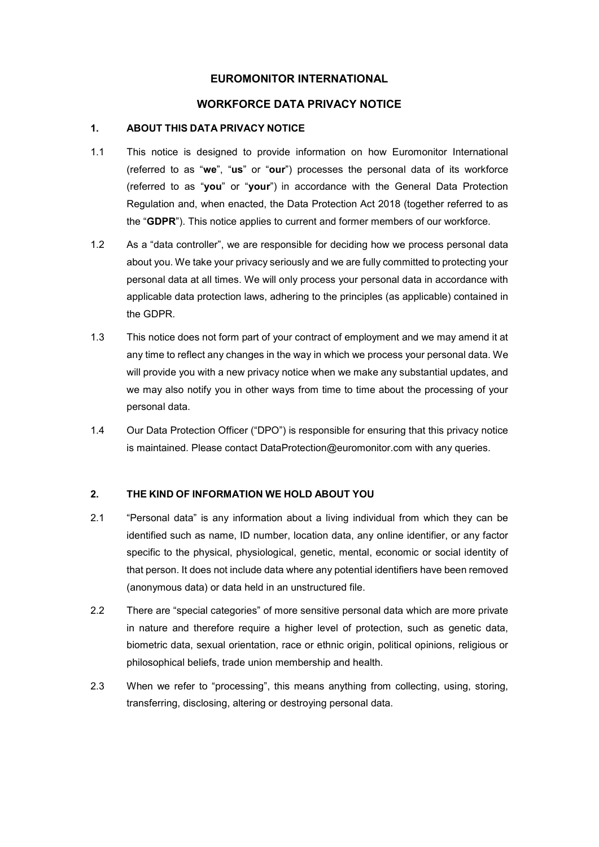## **EUROMONITOR INTERNATIONAL**

## **WORKFORCE DATA PRIVACY NOTICE**

## **1. ABOUT THIS DATA PRIVACY NOTICE**

- 1.1 This notice is designed to provide information on how Euromonitor International (referred to as "**we**", "**us**" or "**our**") processes the personal data of its workforce (referred to as "**you**" or "**your**") in accordance with the General Data Protection Regulation and, when enacted, the Data Protection Act 2018 (together referred to as the "**GDPR**"). This notice applies to current and former members of our workforce.
- 1.2 As a "data controller", we are responsible for deciding how we process personal data about you. We take your privacy seriously and we are fully committed to protecting your personal data at all times. We will only process your personal data in accordance with applicable data protection laws, adhering to the principles (as applicable) contained in the GDPR.
- 1.3 This notice does not form part of your contract of employment and we may amend it at any time to reflect any changes in the way in which we process your personal data. We will provide you with a new privacy notice when we make any substantial updates, and we may also notify you in other ways from time to time about the processing of your personal data.
- <span id="page-0-0"></span>1.4 Our Data Protection Officer ("DPO") is responsible for ensuring that this privacy notice is maintained. Please contact DataProtection@euromonitor.com with any queries.

## **2. THE KIND OF INFORMATION WE HOLD ABOUT YOU**

- 2.1 "Personal data" is any information about a living individual from which they can be identified such as name, ID number, location data, any online identifier, or any factor specific to the physical, physiological, genetic, mental, economic or social identity of that person. It does not include data where any potential identifiers have been removed (anonymous data) or data held in an unstructured file.
- 2.2 There are "special categories" of more sensitive personal data which are more private in nature and therefore require a higher level of protection, such as genetic data, biometric data, sexual orientation, race or ethnic origin, political opinions, religious or philosophical beliefs, trade union membership and health.
- 2.3 When we refer to "processing", this means anything from collecting, using, storing, transferring, disclosing, altering or destroying personal data.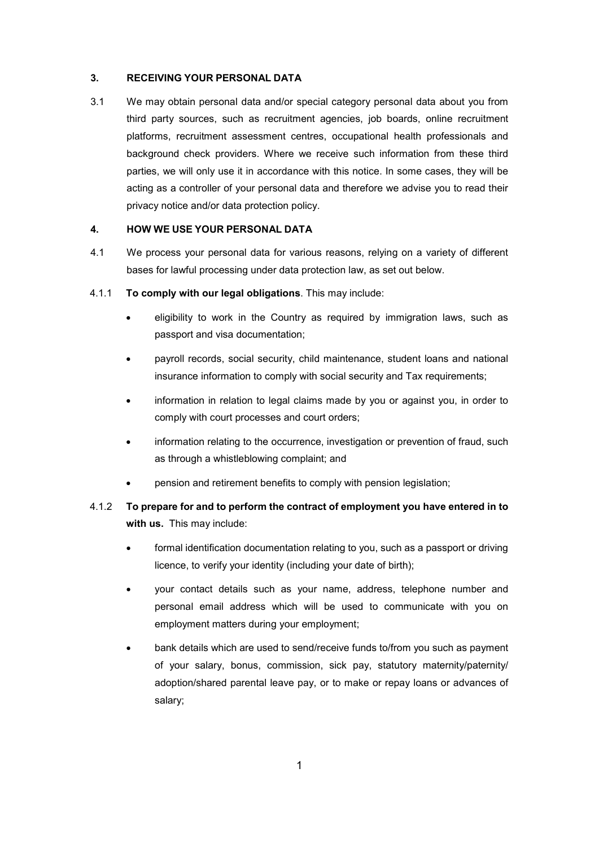## **3. RECEIVING YOUR PERSONAL DATA**

3.1 We may obtain personal data and/or special category personal data about you from third party sources, such as recruitment agencies, job boards, online recruitment platforms, recruitment assessment centres, occupational health professionals and background check providers. Where we receive such information from these third parties, we will only use it in accordance with this notice. In some cases, they will be acting as a controller of your personal data and therefore we advise you to read their privacy notice and/or data protection policy.

### **4. HOW WE USE YOUR PERSONAL DATA**

- 4.1 We process your personal data for various reasons, relying on a variety of different bases for lawful processing under data protection law, as set out below.
- 4.1.1 **To comply with our legal obligations**. This may include:
	- eligibility to work in the Country as required by immigration laws, such as passport and visa documentation;
	- payroll records, social security, child maintenance, student loans and national insurance information to comply with social security and Tax requirements;
	- information in relation to legal claims made by you or against you, in order to comply with court processes and court orders;
	- information relating to the occurrence, investigation or prevention of fraud, such as through a whistleblowing complaint; and
	- pension and retirement benefits to comply with pension legislation;

# 4.1.2 **To prepare for and to perform the contract of employment you have entered in to with us.** This may include:

- formal identification documentation relating to you, such as a passport or driving licence, to verify your identity (including your date of birth);
- your contact details such as your name, address, telephone number and personal email address which will be used to communicate with you on employment matters during your employment;
- bank details which are used to send/receive funds to/from you such as payment of your salary, bonus, commission, sick pay, statutory maternity/paternity/ adoption/shared parental leave pay, or to make or repay loans or advances of salary;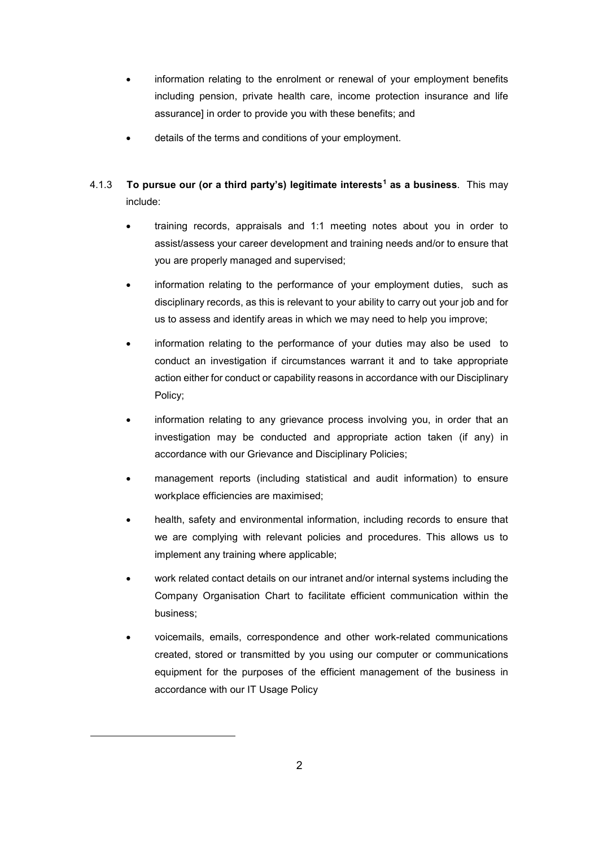- information relating to the enrolment or renewal of your employment benefits including pension, private health care, income protection insurance and life assurance] in order to provide you with these benefits; and
- details of the terms and conditions of your employment.

# <span id="page-2-1"></span>4.1.3 **To pursue our (or a third party's) legitimate interests[1](#page-2-0) as a business**. This may include:

- training records, appraisals and 1:1 meeting notes about you in order to assist/assess your career development and training needs and/or to ensure that you are properly managed and supervised;
- information relating to the performance of your employment duties, such as disciplinary records, as this is relevant to your ability to carry out your job and for us to assess and identify areas in which we may need to help you improve;
- information relating to the performance of your duties may also be used to conduct an investigation if circumstances warrant it and to take appropriate action either for conduct or capability reasons in accordance with our Disciplinary Policy;
- information relating to any grievance process involving you, in order that an investigation may be conducted and appropriate action taken (if any) in accordance with our Grievance and Disciplinary Policies;
- management reports (including statistical and audit information) to ensure workplace efficiencies are maximised;
- health, safety and environmental information, including records to ensure that we are complying with relevant policies and procedures. This allows us to implement any training where applicable;
- work related contact details on our intranet and/or internal systems including the Company Organisation Chart to facilitate efficient communication within the business;
- voicemails, emails, correspondence and other work-related communications created, stored or transmitted by you using our computer or communications equipment for the purposes of the efficient management of the business in accordance with our IT Usage Policy

<span id="page-2-0"></span>-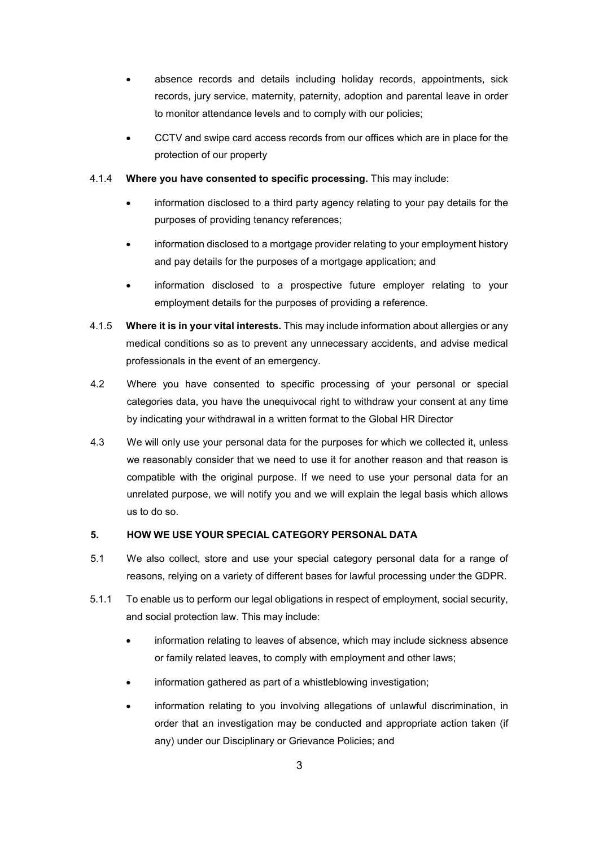- absence records and details including holiday records, appointments, sick records, jury service, maternity, paternity, adoption and parental leave in order to monitor attendance levels and to comply with our policies;
- CCTV and swipe card access records from our offices which are in place for the protection of our property

## <span id="page-3-0"></span>4.1.4 **Where you have consented to specific processing.** This may include:

- information disclosed to a third party agency relating to your pay details for the purposes of providing tenancy references;
- information disclosed to a mortgage provider relating to your employment history and pay details for the purposes of a mortgage application; and
- information disclosed to a prospective future employer relating to your employment details for the purposes of providing a reference.
- 4.1.5 **Where it is in your vital interests.** This may include information about allergies or any medical conditions so as to prevent any unnecessary accidents, and advise medical professionals in the event of an emergency.
- 4.2 Where you have consented to specific processing of your personal or special categories data, you have the unequivocal right to withdraw your consent at any time by indicating your withdrawal in a written format to the Global HR Director
- 4.3 We will only use your personal data for the purposes for which we collected it, unless we reasonably consider that we need to use it for another reason and that reason is compatible with the original purpose. If we need to use your personal data for an unrelated purpose, we will notify you and we will explain the legal basis which allows us to do so.

## **5. HOW WE USE YOUR SPECIAL CATEGORY PERSONAL DATA**

- 5.1 We also collect, store and use your special category personal data for a range of reasons, relying on a variety of different bases for lawful processing under the GDPR.
- 5.1.1 To enable us to perform our legal obligations in respect of employment, social security, and social protection law. This may include:
	- information relating to leaves of absence, which may include sickness absence or family related leaves, to comply with employment and other laws;
	- information gathered as part of a whistleblowing investigation;
	- information relating to you involving allegations of unlawful discrimination, in order that an investigation may be conducted and appropriate action taken (if any) under our Disciplinary or Grievance Policies; and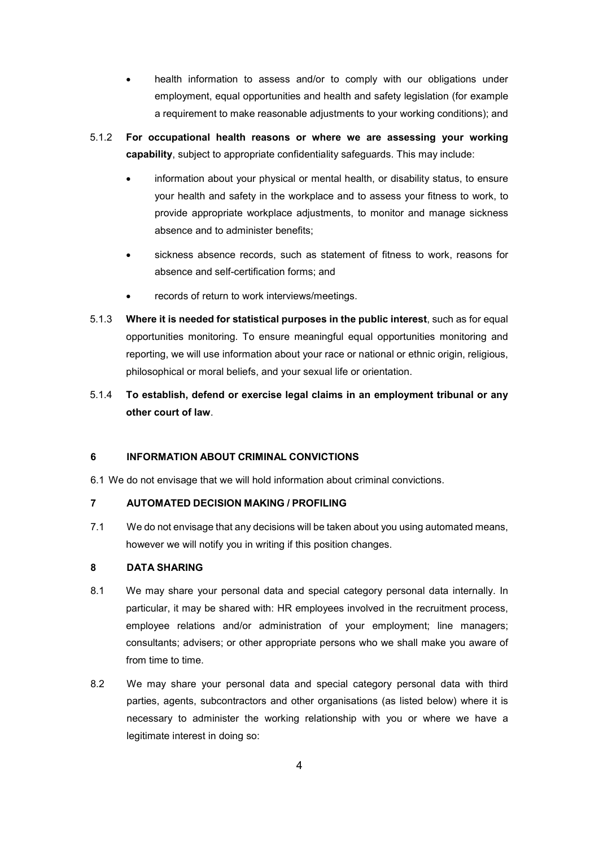- health information to assess and/or to comply with our obligations under employment, equal opportunities and health and safety legislation (for example a requirement to make reasonable adjustments to your working conditions); and
- 5.1.2 **For occupational health reasons or where we are assessing your working capability**, subject to appropriate confidentiality safeguards. This may include:
	- information about your physical or mental health, or disability status, to ensure your health and safety in the workplace and to assess your fitness to work, to provide appropriate workplace adjustments, to monitor and manage sickness absence and to administer benefits;
	- sickness absence records, such as statement of fitness to work, reasons for absence and self-certification forms; and
	- records of return to work interviews/meetings.
- 5.1.3 **Where it is needed for statistical purposes in the public interest**, such as for equal opportunities monitoring. To ensure meaningful equal opportunities monitoring and reporting, we will use information about your race or national or ethnic origin, religious, philosophical or moral beliefs, and your sexual life or orientation.
- 5.1.4 **To establish, defend or exercise legal claims in an employment tribunal or any other court of law**.

## **6 INFORMATION ABOUT CRIMINAL CONVICTIONS**

6.1 We do not envisage that we will hold information about criminal convictions.

## **7 AUTOMATED DECISION MAKING / PROFILING**

7.1 We do not envisage that any decisions will be taken about you using automated means, however we will notify you in writing if this position changes.

## **8 DATA SHARING**

- 8.1 We may share your personal data and special category personal data internally. In particular, it may be shared with: HR employees involved in the recruitment process, employee relations and/or administration of your employment; line managers; consultants; advisers; or other appropriate persons who we shall make you aware of from time to time.
- 8.2 We may share your personal data and special category personal data with third parties, agents, subcontractors and other organisations (as listed below) where it is necessary to administer the working relationship with you or where we have a legitimate interest in doing so: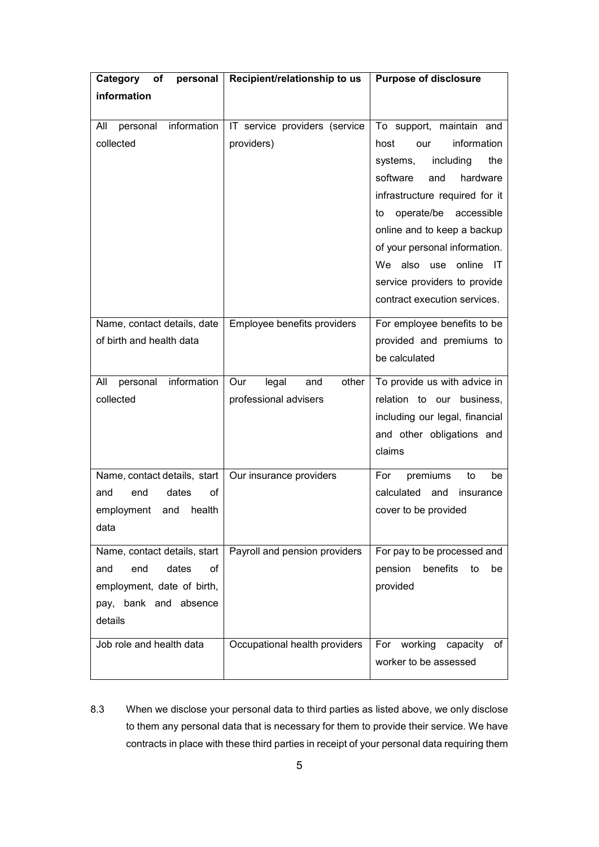| personal<br>Category<br>оf                                                                                                  | Recipient/relationship to us                          | <b>Purpose of disclosure</b>                                                                                                                                                                                                                                                                                                                                   |
|-----------------------------------------------------------------------------------------------------------------------------|-------------------------------------------------------|----------------------------------------------------------------------------------------------------------------------------------------------------------------------------------------------------------------------------------------------------------------------------------------------------------------------------------------------------------------|
| information                                                                                                                 |                                                       |                                                                                                                                                                                                                                                                                                                                                                |
| information<br>All<br>personal<br>collected                                                                                 | IT service providers (service<br>providers)           | To support, maintain and<br>information<br>host<br>our<br>systems,<br>including<br>the<br>software<br>and<br>hardware<br>infrastructure required for it<br>operate/be accessible<br>to<br>online and to keep a backup<br>of your personal information.<br>also<br>online<br>We .<br>use<br>-IT<br>service providers to provide<br>contract execution services. |
| Name, contact details, date<br>of birth and health data                                                                     | Employee benefits providers                           | For employee benefits to be<br>provided and premiums to<br>be calculated                                                                                                                                                                                                                                                                                       |
| information<br>All<br>personal<br>collected                                                                                 | legal<br>other<br>Our<br>and<br>professional advisers | To provide us with advice in<br>relation to our business,<br>including our legal, financial<br>and other obligations and<br>claims                                                                                                                                                                                                                             |
| Name, contact details, start<br>end<br>dates<br>οf<br>and<br>employment<br>and<br>health<br>data                            | Our insurance providers                               | premiums<br>For<br>be<br>to<br>calculated and<br>insurance<br>cover to be provided                                                                                                                                                                                                                                                                             |
| Name, contact details, start<br>dates<br>end<br>of<br>and<br>employment, date of birth,<br>pay, bank and absence<br>details | Payroll and pension providers                         | For pay to be processed and<br>pension<br>benefits<br>to<br>be<br>provided                                                                                                                                                                                                                                                                                     |
| Job role and health data                                                                                                    | Occupational health providers                         | For<br>working<br>capacity<br>of<br>worker to be assessed                                                                                                                                                                                                                                                                                                      |

8.3 When we disclose your personal data to third parties as listed above, we only disclose to them any personal data that is necessary for them to provide their service. We have contracts in place with these third parties in receipt of your personal data requiring them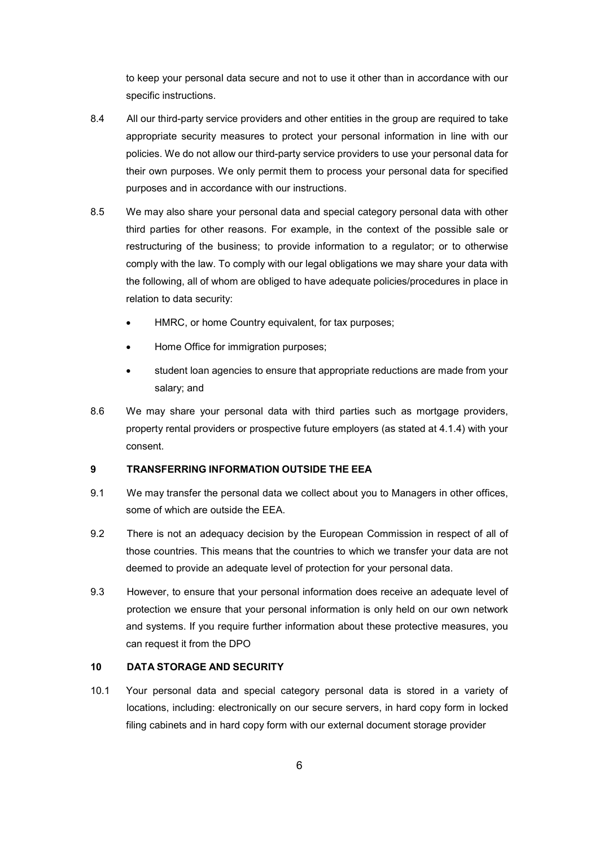to keep your personal data secure and not to use it other than in accordance with our specific instructions.

- 8.4 All our third-party service providers and other entities in the group are required to take appropriate security measures to protect your personal information in line with our policies. We do not allow our third-party service providers to use your personal data for their own purposes. We only permit them to process your personal data for specified purposes and in accordance with our instructions.
- 8.5 We may also share your personal data and special category personal data with other third parties for other reasons. For example, in the context of the possible sale or restructuring of the business; to provide information to a regulator; or to otherwise comply with the law. To comply with our legal obligations we may share your data with the following, all of whom are obliged to have adequate policies/procedures in place in relation to data security:
	- HMRC, or home Country equivalent, for tax purposes;
	- Home Office for immigration purposes;
	- student loan agencies to ensure that appropriate reductions are made from your salary; and
- 8.6 We may share your personal data with third parties such as mortgage providers, property rental providers or prospective future employers (as stated at [4.1.4\)](#page-3-0) with your consent.

#### **9 TRANSFERRING INFORMATION OUTSIDE THE EEA**

- 9.1 We may transfer the personal data we collect about you to Managers in other offices, some of which are outside the EEA.
- 9.2 There is not an adequacy decision by the European Commission in respect of all of those countries. This means that the countries to which we transfer your data are not deemed to provide an adequate level of protection for your personal data.
- 9.3 However, to ensure that your personal information does receive an adequate level of protection we ensure that your personal information is only held on our own network and systems. If you require further information about these protective measures, you can request it from the DPO

### **10 DATA STORAGE AND SECURITY**

10.1 Your personal data and special category personal data is stored in a variety of locations, including: electronically on our secure servers, in hard copy form in locked filing cabinets and in hard copy form with our external document storage provider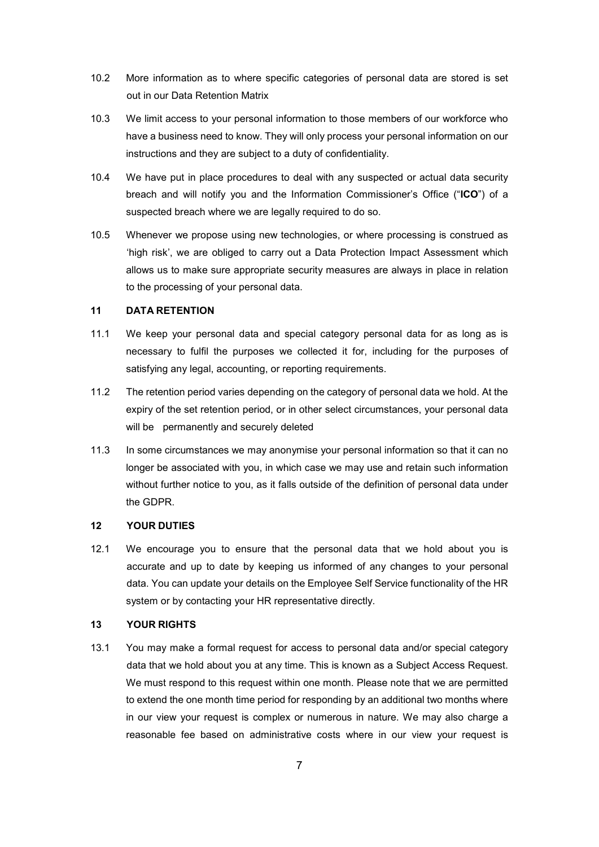- 10.2 More information as to where specific categories of personal data are stored is set out in our Data Retention Matrix
- 10.3 We limit access to your personal information to those members of our workforce who have a business need to know. They will only process your personal information on our instructions and they are subject to a duty of confidentiality.
- 10.4 We have put in place procedures to deal with any suspected or actual data security breach and will notify you and the Information Commissioner's Office ("**ICO**") of a suspected breach where we are legally required to do so.
- 10.5 Whenever we propose using new technologies, or where processing is construed as 'high risk', we are obliged to carry out a Data Protection Impact Assessment which allows us to make sure appropriate security measures are always in place in relation to the processing of your personal data.

#### **11 DATA RETENTION**

- 11.1 We keep your personal data and special category personal data for as long as is necessary to fulfil the purposes we collected it for, including for the purposes of satisfying any legal, accounting, or reporting requirements.
- 11.2 The retention period varies depending on the category of personal data we hold. At the expiry of the set retention period, or in other select circumstances, your personal data will be permanently and securely deleted
- 11.3 In some circumstances we may anonymise your personal information so that it can no longer be associated with you, in which case we may use and retain such information without further notice to you, as it falls outside of the definition of personal data under the GDPR.

#### **12 YOUR DUTIES**

12.1 We encourage you to ensure that the personal data that we hold about you is accurate and up to date by keeping us informed of any changes to your personal data. You can update your details on the Employee Self Service functionality of the HR system or by contacting your HR representative directly.

### **13 YOUR RIGHTS**

13.1 You may make a formal request for access to personal data and/or special category data that we hold about you at any time. This is known as a Subject Access Request. We must respond to this request within one month. Please note that we are permitted to extend the one month time period for responding by an additional two months where in our view your request is complex or numerous in nature. We may also charge a reasonable fee based on administrative costs where in our view your request is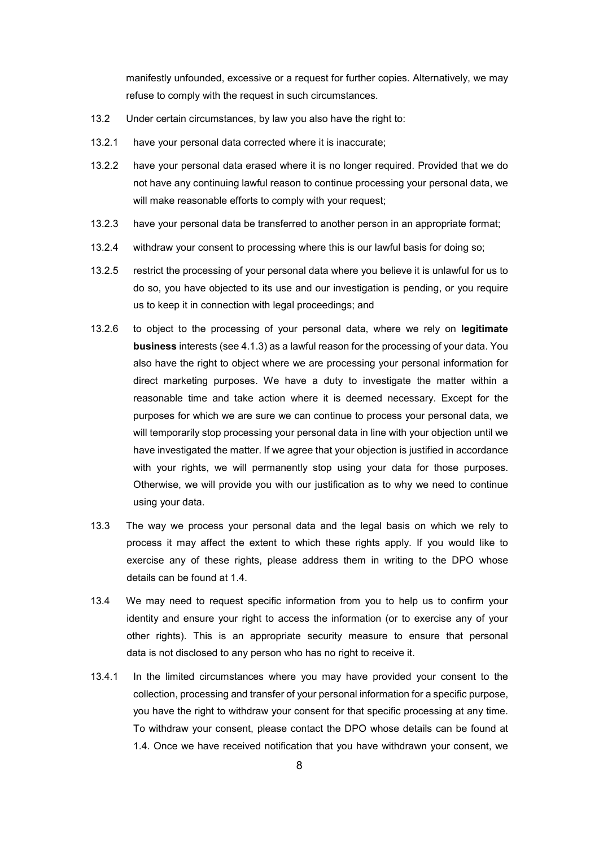manifestly unfounded, excessive or a request for further copies. Alternatively, we may refuse to comply with the request in such circumstances.

- 13.2 Under certain circumstances, by law you also have the right to:
- 13.2.1 have your personal data corrected where it is inaccurate;
- 13.2.2 have your personal data erased where it is no longer required. Provided that we do not have any continuing lawful reason to continue processing your personal data, we will make reasonable efforts to comply with your request;
- 13.2.3 have your personal data be transferred to another person in an appropriate format;
- 13.2.4 withdraw your consent to processing where this is our lawful basis for doing so;
- 13.2.5 restrict the processing of your personal data where you believe it is unlawful for us to do so, you have objected to its use and our investigation is pending, or you require us to keep it in connection with legal proceedings; and
- 13.2.6 to object to the processing of your personal data, where we rely on **legitimate business** interests (see [4.1.3\)](#page-2-1) as a lawful reason for the processing of your data. You also have the right to object where we are processing your personal information for direct marketing purposes. We have a duty to investigate the matter within a reasonable time and take action where it is deemed necessary. Except for the purposes for which we are sure we can continue to process your personal data, we will temporarily stop processing your personal data in line with your objection until we have investigated the matter. If we agree that your objection is justified in accordance with your rights, we will permanently stop using your data for those purposes. Otherwise, we will provide you with our justification as to why we need to continue using your data.
- 13.3 The way we process your personal data and the legal basis on which we rely to process it may affect the extent to which these rights apply. If you would like to exercise any of these rights, please address them in writing to the DPO whose details can be found at [1.4.](#page-0-0)
- 13.4 We may need to request specific information from you to help us to confirm your identity and ensure your right to access the information (or to exercise any of your other rights). This is an appropriate security measure to ensure that personal data is not disclosed to any person who has no right to receive it.
- 13.4.1 In the limited circumstances where you may have provided your consent to the collection, processing and transfer of your personal information for a specific purpose, you have the right to withdraw your consent for that specific processing at any time. To withdraw your consent, please contact the DPO whose details can be found at [1.4.](#page-0-0) Once we have received notification that you have withdrawn your consent, we